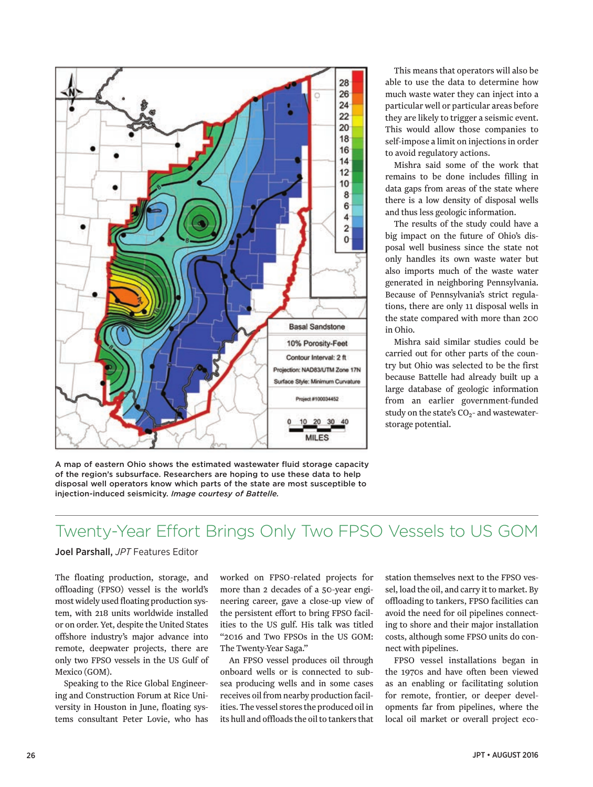# Twenty-Year Effort Brings Only Two FPSO Vessels to US GOM

#### Joel Parshall, *JPT* Features Editor

The floating production, storage, and offloading (FPSO) vessel is the world's most widely used floating production system, with 218 units worldwide installed or on order. Yet, despite the United States offshore industry's major advance into remote, deepwater projects, there are only two FPSO vessels in the US Gulf of Mexico (GOM).

Speaking to the Rice Global Engineering and Construction Forum at Rice University in Houston in June, floating systems consultant Peter Lovie, who has worked on FPSO-related projects for more than 2 decades of a 50-year engineering career, gave a close-up view of the persistent effort to bring FPSO facilities to the US gulf. His talk was titled "2016 and Two FPSOs in the US GOM: The Twenty-Year Saga."

An FPSO vessel produces oil through onboard wells or is connected to subsea producing wells and in some cases receives oil from nearby production facilities. The vessel stores the produced oil in its hull and offloads the oil to tankers that station themselves next to the FPSO vessel, load the oil, and carry it to market. By offloading to tankers, FPSO facilities can avoid the need for oil pipelines connecting to shore and their major installation costs, although some FPSO units do connect with pipelines.

FPSO vessel installations began in the 1970s and have often been viewed as an enabling or facilitating solution for remote, frontier, or deeper developments far from pipelines, where the local oil market or overall project eco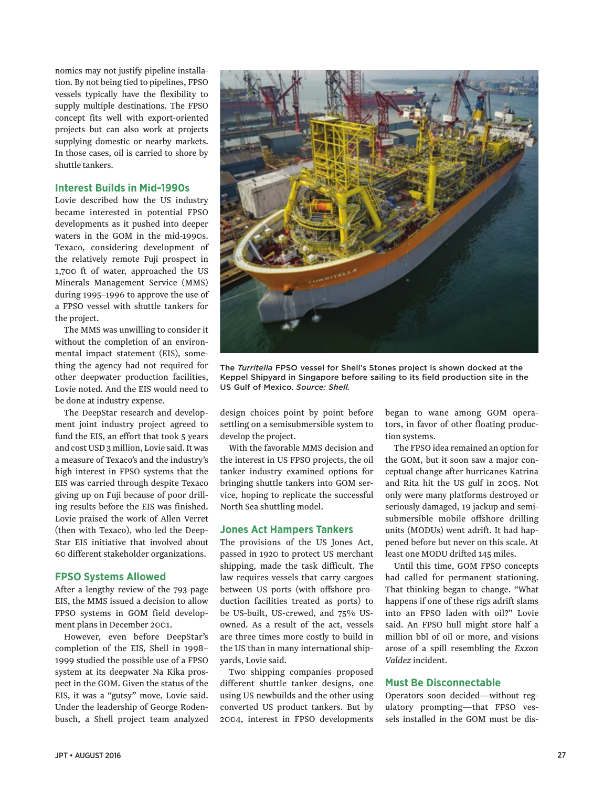nomics may not justify pipeline installation. By not being tied to pipelines, FPSO vessels typically have the flexibility to supply multiple destinations. The FPSO concept fits well with export-oriented projects but can also work at projects supplying domestic or nearby markets. In those cases, oil is carried to shore by shuttle tankers.

# **Interest Builds in Mid-1990s**

Lovie described how the US industry became interested in potential FPSO developments as it pushed into deeper waters in the GOM in the mid-1990s. Texaco, considering development of the relatively remote Fuji prospect in 1,700 ft of water, approached the US Minerals Management Service (MMS) during 1995–1996 to approve the use of a FPSO vessel with shuttle tankers for the project.

The MMS was unwilling to consider it without the completion of an environmental impact statement (EIS), something the agency had not required for other deepwater production facilities, Lovie noted. And the EIS would need to be done at industry expense.

The DeepStar research and development joint industry project agreed to fund the EIS, an effort that took 5 years and cost USD 3 million, Lovie said. It was a measure of Texaco's and the industry's high interest in FPSO systems that the EIS was carried through despite Texaco giving up on Fuji because of poor drilling results before the EIS was finished. Lovie praised the work of Allen Verret (then with Texaco), who led the Deep-Star EIS initiative that involved about 60 different stakeholder organizations.

## **FPSO Systems Allowed**

After a lengthy review of the 793-page EIS, the MMS issued a decision to allow FPSO systems in GOM field development plans in December 2001.

However, even before DeepStar's completion of the EIS, Shell in 1998– 1999 studied the possible use of a FPSO system at its deepwater Na Kika prospect in the GOM. Given the status of the EIS, it was a "gutsy" move, Lovie said. Under the leadership of George Rodenbusch, a Shell project team analyzed



The *Turritella* FPSO vessel for Shell's Stones project is shown docked at the Keppel Shipyard in Singapore before sailing to its field production site in the US Gulf of Mexico. *Source: Shell.*

design choices point by point before settling on a semisubmersible system to develop the project.

With the favorable MMS decision and the interest in US FPSO projects, the oil tanker industry examined options for bringing shuttle tankers into GOM service, hoping to replicate the successful North Sea shuttling model.

#### **Jones Act Hampers Tankers**

The provisions of the US Jones Act, passed in 1920 to protect US merchant shipping, made the task difficult. The law requires vessels that carry cargoes between US ports (with offshore production facilities treated as ports) to be US-built, US-crewed, and 75% USowned. As a result of the act, vessels are three times more costly to build in the US than in many international shipyards, Lovie said.

Two shipping companies proposed different shuttle tanker designs, one using US newbuilds and the other using converted US product tankers. But by 2004, interest in FPSO developments began to wane among GOM operators, in favor of other floating production systems.

The FPSO idea remained an option for the GOM, but it soon saw a major conceptual change after hurricanes Katrina and Rita hit the US gulf in 2005. Not only were many platforms destroyed or seriously damaged, 19 jackup and semisubmersible mobile offshore drilling units (MODUs) went adrift. It had happened before but never on this scale. At least one MODU drifted 145 miles.

Until this time, GOM FPSO concepts had called for permanent stationing. That thinking began to change. "What happens if one of these rigs adrift slams into an FPSO laden with oil?" Lovie said. An FPSO hull might store half a million bbl of oil or more, and visions arose of a spill resembling the *Exxon Valdez* incident.

# **Must Be Disconnectable**

Operators soon decided—without regulatory prompting—that FPSO vessels installed in the GOM must be dis